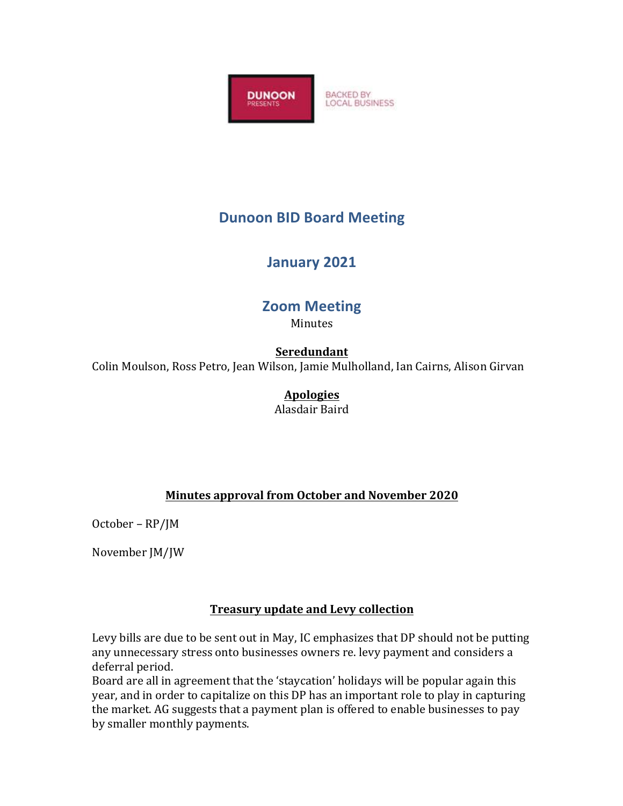

# **Dunoon BID Board Meeting**

# **January 2021**

# **Zoom Meeting**

Minutes

## **Seredundant**

Colin Moulson, Ross Petro, Jean Wilson, Jamie Mulholland, Ian Cairns, Alison Girvan

## **Apologies**

Alasdair Baird 

### **Minutes approval from October and November 2020**

October - RP/JM

November JM/JW

### **Treasury update and Levy collection**

Levy bills are due to be sent out in May, IC emphasizes that DP should not be putting any unnecessary stress onto businesses owners re. levy payment and considers a deferral period.

Board are all in agreement that the 'staycation' holidays will be popular again this year, and in order to capitalize on this DP has an important role to play in capturing the market. AG suggests that a payment plan is offered to enable businesses to pay by smaller monthly payments.